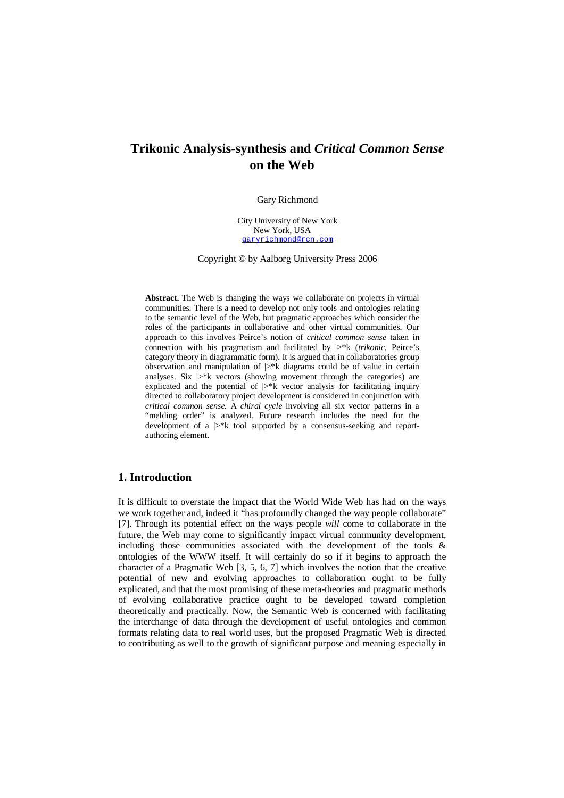# **Trikonic Analysis-synthesis and** *Critical Common Sense* **on the Web**

#### Gary Richmond

City University of New York New York, USA garyrichmond@rcn.com

Copyright © by Aalborg University Press 2006

Abstract. The Web is changing the ways we collaborate on projects in virtual communities. There is a need to develop not only tools and ontologies relating to the semantic level of the Web, but pragmatic approaches which consider the roles of the participants in collaborative and other virtual communities. Our approach to this involves Peirce's notion of *critical common sense* taken in connection with his pragmatism and facilitated by |>\*k (*trikonic*, Peirce's category theory in diagrammatic form). It is argued that in collaboratories group observation and manipulation of  $|>\n k$  diagrams could be of value in certain analyses. Six  $\triangleright^*$ k vectors (showing movement through the categories) are explicated and the potential of  $\triangleright^*$ k vector analysis for facilitating inquiry directed to collaboratory project development is considered in conjunction with *critical common sense.* A *chiral cycle* involving all six vector patterns in a "melding order" is analyzed. Future research includes the need for the development of a  $|>\nmid k$  tool supported by a consensus-seeking and reportauthoring element.

# **1. Introduction**

It is difficult to overstate the impact that the World Wide Web has had on the ways we work together and, indeed it "has profoundly changed the way people collaborate" [7]. Through its potential effect on the ways people *will* come to collaborate in the future, the Web may come to significantly impact virtual community development, including those communities associated with the development of the tools & ontologies of the WWW itself. It will certainly do so if it begins to approach the character of a Pragmatic Web [3, 5, 6, 7] which involves the notion that the creative potential of new and evolving approaches to collaboration ought to be fully explicated, and that the most promising of these meta-theories and pragmatic methods of evolving collaborative practice ought to be developed toward completion theoretically and practically. Now, the Semantic Web is concerned with facilitating the interchange of data through the development of useful ontologies and common formats relating data to real world uses, but the proposed Pragmatic Web is directed to contributing as well to the growth of significant purpose and meaning especially in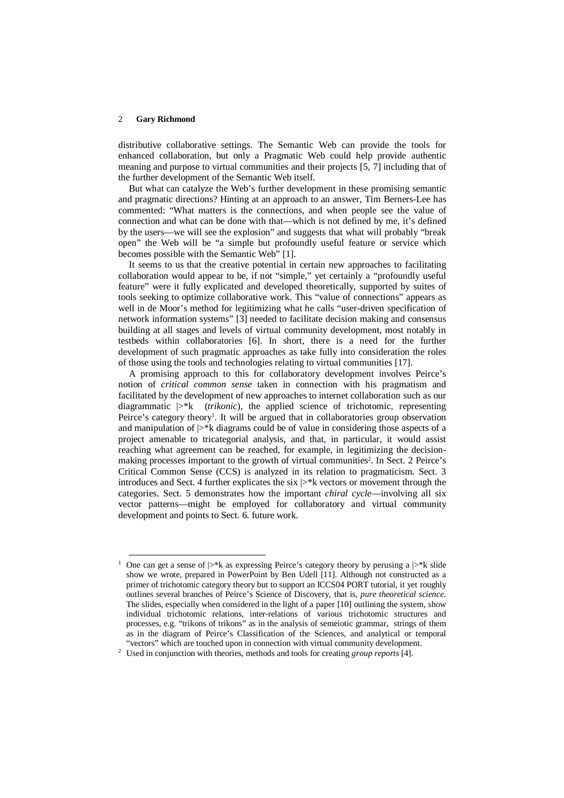-

distributive collaborative settings. The Semantic Web can provide the tools for enhanced collaboration, but only a Pragmatic Web could help provide authentic meaning and purpose to virtual communities and their projects [5, 7] including that of the further development of the Semantic Web itself.

But what can catalyze the Web's further development in these promising semantic and pragmatic directions? Hinting at an approach to an answer, Tim Berners-Lee has commented: "What matters is the connections, and when people see the value of connection and what can be done with that—which is not defined by me, it's defined by the users—we will see the explosion" and suggests that what will probably "break open" the Web will be "a simple but profoundly useful feature or service which becomes possible with the Semantic Web" [1].

It seems to us that the creative potential in certain new approaches to facilitating collaboration would appear to be, if not "simple," yet certainly a "profoundly useful feature" were it fully explicated and developed theoretically, supported by suites of tools seeking to optimize collaborative work. This "value of connections" appears as well in de Moor's method for legitimizing what he calls "user-driven specification of network information systems" [3] needed to facilitate decision making and consensus building at all stages and levels of virtual community development, most notably in testbeds within collaboratories [6]. In short, there is a need for the further development of such pragmatic approaches as take fully into consideration the roles of those using the tools and technologies relating to virtual communities [17].

A promising approach to this for collaboratory development involves Peirce's notion of *critical common sense* taken in connection with his pragmatism and facilitated by the development of new approaches to internet collaboration such as our diagrammatic |>\*k (*trikonic*), the applied science of trichotomic, representing Peirce's category theory<sup>1</sup>. It will be argued that in collaboratories group observation and manipulation of  $\triangleright^*$ k diagrams could be of value in considering those aspects of a project amenable to tricategorial analysis, and that, in particular, it would assist reaching what agreement can be reached, for example, in legitimizing the decisionmaking processes important to the growth of virtual communities<sup>2</sup>. In Sect. 2 Peirce's Critical Common Sense (CCS) is analyzed in its relation to pragmaticism. Sect. 3 introduces and Sect. 4 further explicates the six  $\triangleright^*$ k vectors or movement through the categories. Sect. 5 demonstrates how the important *chiral cycle*—involving all six vector patterns—might be employed for collaboratory and virtual community development and points to Sect. 6. future work.

<sup>&</sup>lt;sup>1</sup> One can get a sense of  $\triangleright^*$ k as expressing Peirce's category theory by perusing a  $\triangleright^*$ k slide show we wrote, prepared in PowerPoint by Ben Udell [11]. Although not constructed as a primer of trichotomic category theory but to support an ICCS04 PORT tutorial, it yet roughly outlines several branches of Peirce's Science of Discovery, that is, *pure theoretical science*. The slides, especially when considered in the light of a paper [10] outlining the system, show individual trichotomic relations, inter-relations of various trichotomic structures and processes, e.g. "trikons of trikons" as in the analysis of semeiotic grammar, strings of them as in the diagram of Peirce's Classification of the Sciences, and analytical or temporal "vectors" which are touched upon in connection with virtual community development.

<sup>2</sup> Used in conjunction with theories, methods and tools for creating *group reports* [4].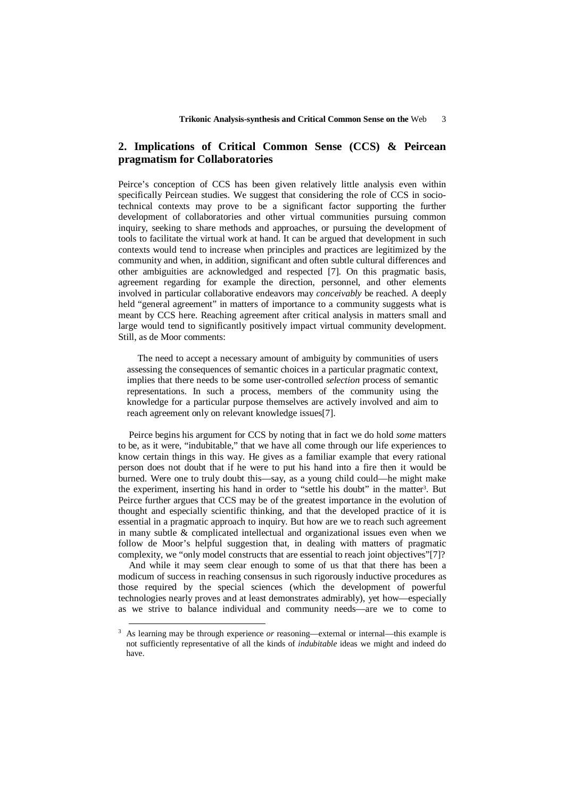# **2. Implications of Critical Common Sense (CCS) & Peircean pragmatism for Collaboratories**

Peirce's conception of CCS has been given relatively little analysis even within specifically Peircean studies. We suggest that considering the role of CCS in sociotechnical contexts may prove to be a significant factor supporting the further development of collaboratories and other virtual communities pursuing common inquiry, seeking to share methods and approaches, or pursuing the development of tools to facilitate the virtual work at hand. It can be argued that development in such contexts would tend to increase when principles and practices are legitimized by the community and when, in addition, significant and often subtle cultural differences and other ambiguities are acknowledged and respected [7]. On this pragmatic basis, agreement regarding for example the direction, personnel, and other elements involved in particular collaborative endeavors may *conceivably* be reached. A deeply held "general agreement" in matters of importance to a community suggests what is meant by CCS here. Reaching agreement after critical analysis in matters small and large would tend to significantly positively impact virtual community development. Still, as de Moor comments:

The need to accept a necessary amount of ambiguity by communities of users assessing the consequences of semantic choices in a particular pragmatic context, implies that there needs to be some user-controlled *selection* process of semantic representations. In such a process, members of the community using the knowledge for a particular purpose themselves are actively involved and aim to reach agreement only on relevant knowledge issues[7].

Peirce begins his argument for CCS by noting that in fact we do hold *some* matters to be, as it were, "indubitable," that we have all come through our life experiences to know certain things in this way. He gives as a familiar example that every rational person does not doubt that if he were to put his hand into a fire then it would be burned. Were one to truly doubt this—say, as a young child could—he might make the experiment, inserting his hand in order to "settle his doubt" in the matter<sup>3</sup>. But Peirce further argues that CCS may be of the greatest importance in the evolution of thought and especially scientific thinking, and that the developed practice of it is essential in a pragmatic approach to inquiry. But how are we to reach such agreement in many subtle & complicated intellectual and organizational issues even when we follow de Moor's helpful suggestion that, in dealing with matters of pragmatic complexity, we "only model constructs that are essential to reach joint objectives"[7]?

And while it may seem clear enough to some of us that that there has been a modicum of success in reaching consensus in such rigorously inductive procedures as those required by the special sciences (which the development of powerful technologies nearly proves and at least demonstrates admirably), yet how—especially as we strive to balance individual and community needs—are we to come to

-

<sup>&</sup>lt;sup>3</sup> As learning may be through experience *or* reasoning—external or internal—this example is not sufficiently representative of all the kinds of *indubitable* ideas we might and indeed do have.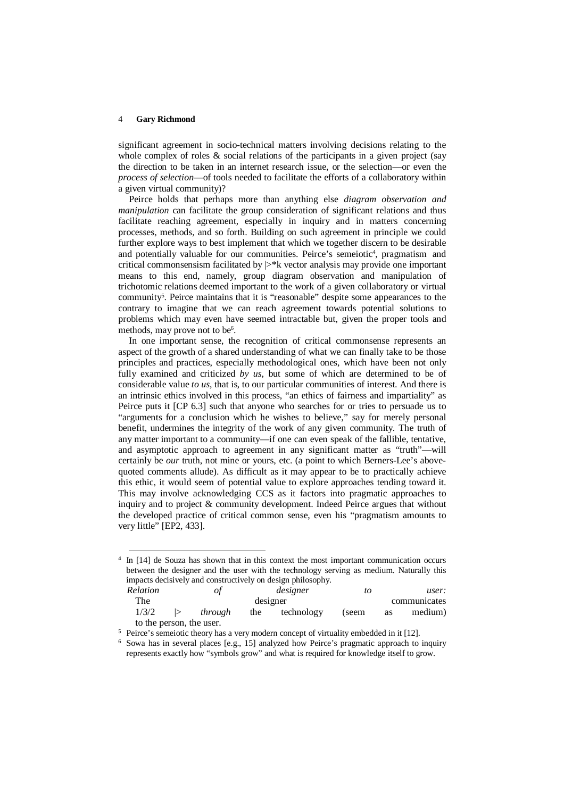-

significant agreement in socio-technical matters involving decisions relating to the whole complex of roles & social relations of the participants in a given project (say the direction to be taken in an internet research issue, or the selection—or even the *process of selection*—of tools needed to facilitate the efforts of a collaboratory within a given virtual community)?

Peirce holds that perhaps more than anything else *diagram observation and manipulation* can facilitate the group consideration of significant relations and thus facilitate reaching agreement, especially in inquiry and in matters concerning processes, methods, and so forth. Building on such agreement in principle we could further explore ways to best implement that which we together discern to be desirable and potentially valuable for our communities. Peirce's semeiotic<sup>4</sup>, pragmatism and critical commonsensism facilitated by  $\triangleright^*$ k vector analysis may provide one important means to this end, namely, group diagram observation and manipulation of trichotomic relations deemed important to the work of a given collaboratory or virtual community<sup>5</sup>. Peirce maintains that it is "reasonable" despite some appearances to the contrary to imagine that we can reach agreement towards potential solutions to problems which may even have seemed intractable but, given the proper tools and methods, may prove not to be<sup>6</sup>.

In one important sense, the recognition of critical commonsense represents an aspect of the growth of a shared understanding of what we can finally take to be those principles and practices, especially methodological ones, which have been not only fully examined and criticized *by us*, but some of which are determined to be of considerable value *to us*, that is, to our particular communities of interest. And there is an intrinsic ethics involved in this process, "an ethics of fairness and impartiality" as Peirce puts it [CP 6.3] such that anyone who searches for or tries to persuade us to "arguments for a conclusion which he wishes to believe," say for merely personal benefit, undermines the integrity of the work of any given community. The truth of any matter important to a community—if one can even speak of the fallible, tentative, and asymptotic approach to agreement in any significant matter as "truth"—will certainly be *our* truth, not mine or yours, etc. (a point to which Berners-Lee's abovequoted comments allude). As difficult as it may appear to be to practically achieve this ethic, it would seem of potential value to explore approaches tending toward it. This may involve acknowledging CCS as it factors into pragmatic approaches to inquiry and to project & community development. Indeed Peirce argues that without the developed practice of critical common sense, even his "pragmatism amounts to very little" [EP2, 433].

<sup>&</sup>lt;sup>4</sup> In [14] de Souza has shown that in this context the most important communication occurs between the designer and the user with the technology serving as medium. Naturally this impacts decisively and constructively on design philosophy. *Relation of designer to user:*<br>The *designer* to user: The designer communicates

| 1 He  | designer                 |     |            |      | communicates |         |
|-------|--------------------------|-----|------------|------|--------------|---------|
| 1/3/2 | through                  | the | technology | seem | <b>as</b>    | medium) |
|       | to the person, the user. |     |            |      |              |         |

<sup>&</sup>lt;sup>5</sup> Peirce's semeiotic theory has a very modern concept of virtuality embedded in it [12].

<sup>&</sup>lt;sup>6</sup> Sowa has in several places [e.g., 15] analyzed how Peirce's pragmatic approach to inquiry represents exactly how "symbols grow" and what is required for knowledge itself to grow.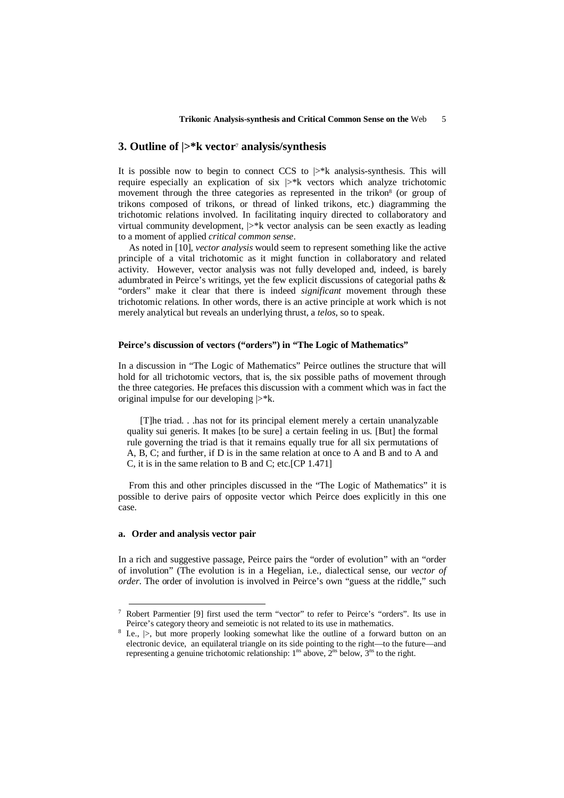# **3. Outline of |>\*k vector**<sup>7</sup>  **analysis/synthesis**

It is possible now to begin to connect CCS to  $\triangleright$ \*k analysis-synthesis. This will require especially an explication of six  $\triangleright^*$ k vectors which analyze trichotomic movement through the three categories as represented in the trikon<sup>8</sup> (or group of trikons composed of trikons, or thread of linked trikons, etc.) diagramming the trichotomic relations involved. In facilitating inquiry directed to collaboratory and virtual community development,  $\triangleright^*$ k vector analysis can be seen exactly as leading to a moment of applied *critical common sense*.

As noted in [10], *vector analysis* would seem to represent something like the active principle of a vital trichotomic as it might function in collaboratory and related activity. However, vector analysis was not fully developed and, indeed, is barely adumbrated in Peirce's writings, yet the few explicit discussions of categorial paths & "orders" make it clear that there is indeed *significant* movement through these trichotomic relations. In other words, there is an active principle at work which is not merely analytical but reveals an underlying thrust, a *telos*, so to speak.

#### **Peirce's discussion of vectors ("orders") in "The Logic of Mathematics"**

In a discussion in "The Logic of Mathematics" Peirce outlines the structure that will hold for all trichotomic vectors, that is, the six possible paths of movement through the three categories. He prefaces this discussion with a comment which was in fact the original impulse for our developing  $\triangleright^*$ k.

[T]he triad. . .has not for its principal element merely a certain unanalyzable quality sui generis. It makes [to be sure] a certain feeling in us. [But] the formal rule governing the triad is that it remains equally true for all six permutations of A, B, C; and further, if D is in the same relation at once to A and B and to A and C, it is in the same relation to B and C; etc.[CP 1.471]

From this and other principles discussed in the "The Logic of Mathematics" it is possible to derive pairs of opposite vector which Peirce does explicitly in this one case.

#### **a. Order and analysis vector pair**

-

In a rich and suggestive passage, Peirce pairs the "order of evolution" with an "order of involution" (The evolution is in a Hegelian, i.e., dialectical sense, our *vector of order*. The order of involution is involved in Peirce's own "guess at the riddle," such

<sup>7</sup> Robert Parmentier [9] first used the term "vector" to refer to Peirce's "orders". Its use in Peirce's category theory and semeiotic is not related to its use in mathematics.

<sup>8</sup> I.e., |>, but more properly looking somewhat like the outline of a forward button on an electronic device, an equilateral triangle on its side pointing to the right—to the future—and representing a genuine trichotomic relationship:  $1^{ns}$  above,  $2^{ns}$  below,  $3^{ns}$  to the right.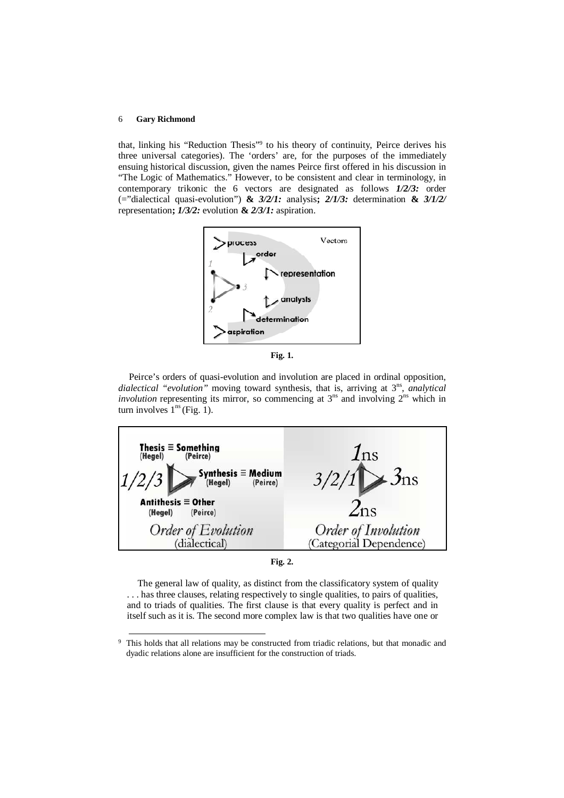l

that, linking his "Reduction Thesis"<sup>9</sup> to his theory of continuity, Peirce derives his three universal categories). The 'orders' are, for the purposes of the immediately ensuing historical discussion, given the names Peirce first offered in his discussion in "The Logic of Mathematics." However, to be consistent and clear in terminology, in contemporary trikonic the 6 vectors are designated as follows *1/2/3:* order (="dialectical quasi-evolution") **&** *3/2/1:* analysis**;** *2/1/3:* determination **&** *3/1/2/* representation**;** *1/3/2:* evolution **&** *2/3/1:* aspiration.



**Fig. 1.**

Peirce's orders of quasi-evolution and involution are placed in ordinal opposition, dialectical "evolution" moving toward synthesis, that is, arriving at 3<sup>ns</sup>, analytical *involution* representing its mirror, so commencing at  $3^{ns}$  and involving  $2^{ns}$  which in turn involves  $1^{\text{ns}}$  (Fig. 1).



The general law of quality, as distinct from the classificatory system of quality . . . has three clauses, relating respectively to single qualities, to pairs of qualities, and to triads of qualities. The first clause is that every quality is perfect and in itself such as it is. The second more complex law is that two qualities have one or

<sup>9</sup> This holds that all relations may be constructed from triadic relations, but that monadic and dyadic relations alone are insufficient for the construction of triads.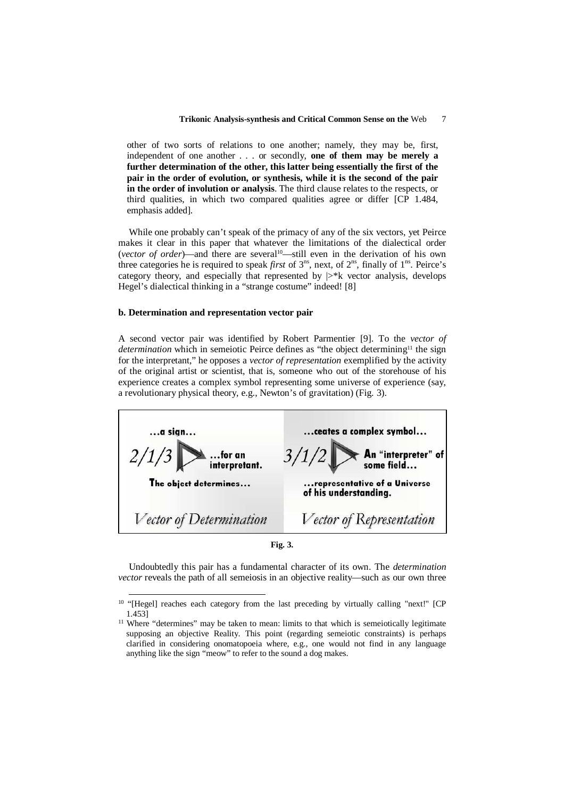other of two sorts of relations to one another; namely, they may be, first, independent of one another . . . or secondly, **one of them may be merely a further determination of the other, this latter being essentially the first of the pair in the order of evolution, or synthesis, while it is the second of the pair in the order of involution or analysis**. The third clause relates to the respects, or third qualities, in which two compared qualities agree or differ [CP 1.484, emphasis added].

While one probably can't speak of the primacy of any of the six vectors, yet Peirce makes it clear in this paper that whatever the limitations of the dialectical order (*vector of order*)—and there are several10—still even in the derivation of his own three categories he is required to speak *first* of  $3^{ns}$ , next, of  $2^{ns}$ , finally of  $1^{ns}$ . Peirce's category theory, and especially that represented by  $\triangleright^*$ k vector analysis, develops Hegel's dialectical thinking in a "strange costume" indeed! [8]

#### **b. Determination and representation vector pair**

-

A second vector pair was identified by Robert Parmentier [9]. To the *vector of determination* which in semeiotic Peirce defines as "the object determining<sup>11</sup> the sign for the interpretant," he opposes a *vector of representation* exemplified by the activity of the original artist or scientist, that is, someone who out of the storehouse of his experience creates a complex symbol representing some universe of experience (say, a revolutionary physical theory, e.g., Newton's of gravitation) (Fig. 3).

| a sign                                          | ceates a complex symbol                               |  |  |  |
|-------------------------------------------------|-------------------------------------------------------|--|--|--|
| 2/1/3<br>$\blacksquare$ for an<br>interpretant. | $3/1/2$ An "interpreter" of                           |  |  |  |
| The object determines                           | representative of a Universe<br>of his understanding. |  |  |  |
| Vector of Determination                         | Vector of Representation                              |  |  |  |

**Fig. 3.**

Undoubtedly this pair has a fundamental character of its own. The *determination vector* reveals the path of all semeiosis in an objective reality—such as our own three

<sup>&</sup>lt;sup>10</sup> "[Hegel] reaches each category from the last preceding by virtually calling "next!" [CP 1.453]

<sup>&</sup>lt;sup>11</sup> Where "determines" may be taken to mean: limits to that which is semeiotically legitimate supposing an objective Reality. This point (regarding semeiotic constraints) is perhaps clarified in considering onomatopoeia where, e.g., one would not find in any language anything like the sign "meow" to refer to the sound a dog makes.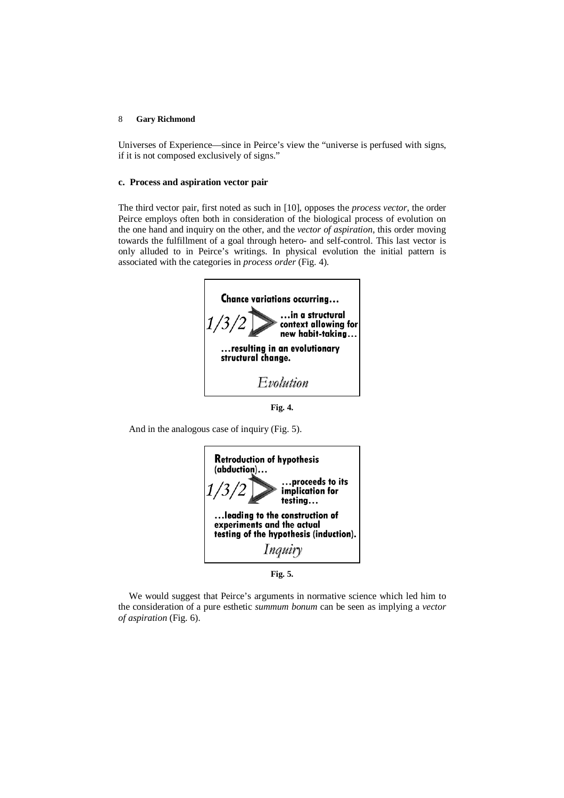Universes of Experience—since in Peirce's view the "universe is perfused with signs, if it is not composed exclusively of signs."

### **c. Process and aspiration vector pair**

The third vector pair, first noted as such in [10], opposes the *process vector*, the order Peirce employs often both in consideration of the biological process of evolution on the one hand and inquiry on the other, and the *vector of aspiration*, this order moving towards the fulfillment of a goal through hetero- and self-control. This last vector is only alluded to in Peirce's writings. In physical evolution the initial pattern is associated with the categories in *process order* (Fig. 4).



**Fig. 4.**

And in the analogous case of inquiry (Fig. 5).



**Fig. 5.**

We would suggest that Peirce's arguments in normative science which led him to the consideration of a pure esthetic *summum bonum* can be seen as implying a *vector of aspiration* (Fig. 6).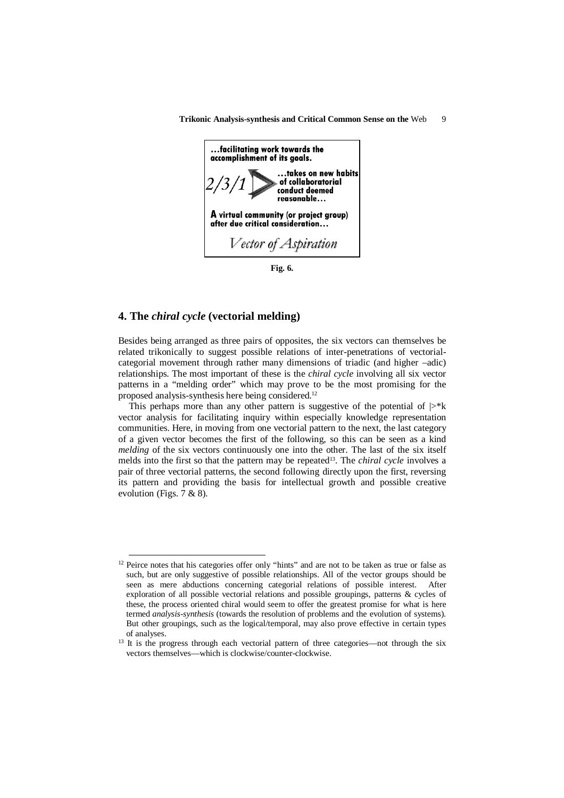

**Fig. 6.**

### **4. The** *chiral cycle* **(vectorial melding)**

-

Besides being arranged as three pairs of opposites, the six vectors can themselves be related trikonically to suggest possible relations of inter-penetrations of vectorialcategorial movement through rather many dimensions of triadic (and higher –adic) relationships. The most important of these is the *chiral cycle* involving all six vector patterns in a "melding order" which may prove to be the most promising for the proposed analysis-synthesis here being considered.<sup>12</sup>

This perhaps more than any other pattern is suggestive of the potential of  $\triangleright^* k$ vector analysis for facilitating inquiry within especially knowledge representation communities. Here, in moving from one vectorial pattern to the next, the last category of a given vector becomes the first of the following, so this can be seen as a kind *melding* of the six vectors continuously one into the other. The last of the six itself melds into the first so that the pattern may be repeated13. The *chiral cycle* involves a pair of three vectorial patterns, the second following directly upon the first, reversing its pattern and providing the basis for intellectual growth and possible creative evolution (Figs. 7 & 8).

<sup>&</sup>lt;sup>12</sup> Peirce notes that his categories offer only "hints" and are not to be taken as true or false as such, but are only suggestive of possible relationships. All of the vector groups should be seen as mere abductions concerning categorial relations of possible interest. After exploration of all possible vectorial relations and possible groupings, patterns & cycles of these, the process oriented chiral would seem to offer the greatest promise for what is here termed *analysis-synthesis* (towards the resolution of problems and the evolution of systems). But other groupings, such as the logical/temporal, may also prove effective in certain types of analyses.

<sup>&</sup>lt;sup>13</sup> It is the progress through each vectorial pattern of three categories—not through the six vectors themselves—which is clockwise/counter-clockwise.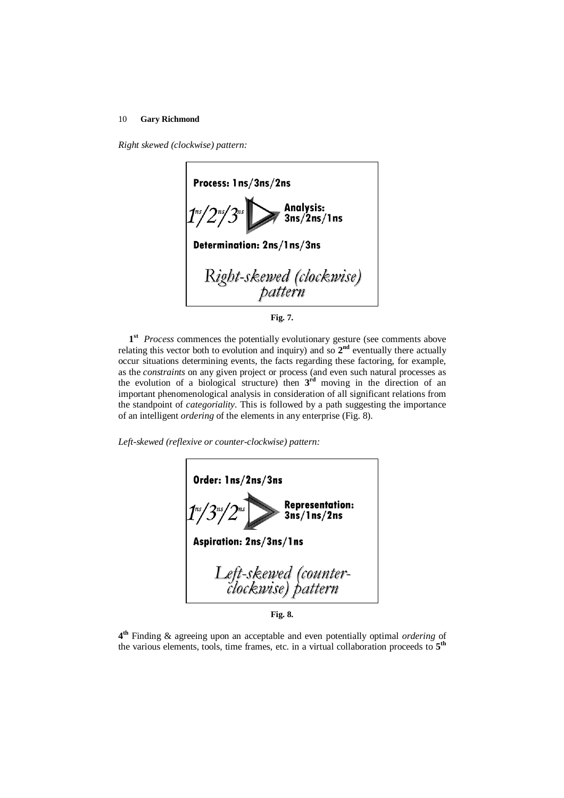*Right skewed (clockwise) pattern:*





1<sup>st</sup> Process commences the potentially evolutionary gesture (see comments above relating this vector both to evolution and inquiry) and so  $2<sup>nd</sup>$  eventually there actually occur situations determining events, the facts regarding these factoring, for example, as the *constraints* on any given project or process (and even such natural processes as the evolution of a biological structure) then **3 rd** moving in the direction of an important phenomenological analysis in consideration of all significant relations from the standpoint of *categoriality*. This is followed by a path suggesting the importance of an intelligent *ordering* of the elements in any enterprise (Fig. 8).

*Left-skewed (reflexive or counter-clockwise) pattern:*

| Order: 1ns/2ns/3ns                                                    |  |  |  |  |
|-----------------------------------------------------------------------|--|--|--|--|
| Representation:<br>3ns/1ns/2ns<br>$1^{\frac{ns}{2}}/2^{\frac{ns}{2}}$ |  |  |  |  |
| <b>Aspiration: 2ns/3ns/1ns</b>                                        |  |  |  |  |
| Left-skewed (counter-<br>clockwise) pattern                           |  |  |  |  |

**Fig. 8.**

**4 th** Finding & agreeing upon an acceptable and even potentially optimal *ordering* of the various elements, tools, time frames, etc. in a virtual collaboration proceeds to **5 th**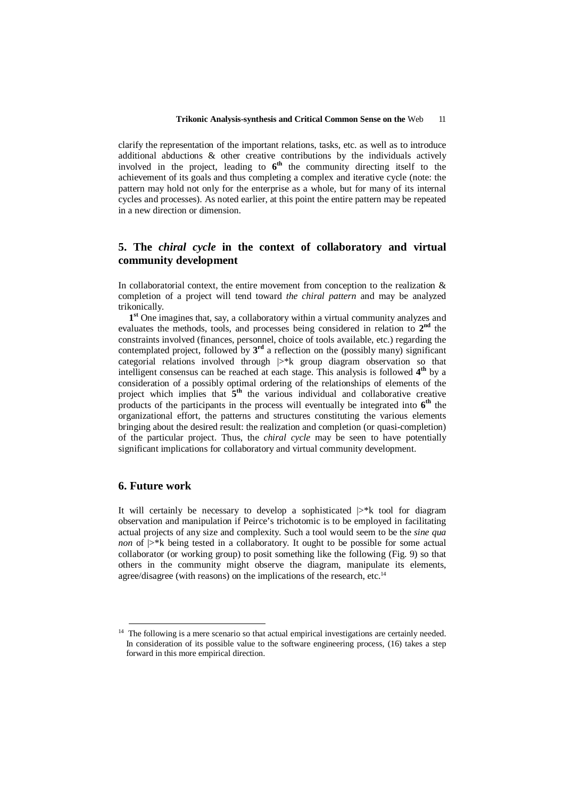clarify the representation of the important relations, tasks, etc. as well as to introduce additional abductions & other creative contributions by the individuals actively involved in the project, leading to  $6<sup>th</sup>$  the community directing itself to the achievement of its goals and thus completing a complex and iterative cycle (note: the pattern may hold not only for the enterprise as a whole, but for many of its internal cycles and processes). As noted earlier, at this point the entire pattern may be repeated in a new direction or dimension.

# **5. The** *chiral cycle* **in the context of collaboratory and virtual community development**

In collaboratorial context, the entire movement from conception to the realization  $\&$ completion of a project will tend toward *the chiral pattern* and may be analyzed trikonically.

1<sup>st</sup> One imagines that, say, a collaboratory within a virtual community analyzes and evaluates the methods, tools, and processes being considered in relation to  $2<sup>nd</sup>$  the constraints involved (finances, personnel, choice of tools available, etc.) regarding the contemplated project, followed by **3 rd** a reflection on the (possibly many) significant categorial relations involved through  $\gg$ <sup>\*</sup>k group diagram observation so that intelligent consensus can be reached at each stage. This analysis is followed **4 th** by a consideration of a possibly optimal ordering of the relationships of elements of the project which implies that  $\bar{5}$ <sup>th</sup> the various individual and collaborative creative products of the participants in the process will eventually be integrated into  $6^{\text{th}}$  the organizational effort, the patterns and structures constituting the various elements bringing about the desired result: the realization and completion (or quasi-completion) of the particular project. Thus, the *chiral cycle* may be seen to have potentially significant implications for collaboratory and virtual community development.

# **6. Future work**

-

It will certainly be necessary to develop a sophisticated  $\triangleright^*$ k tool for diagram observation and manipulation if Peirce's trichotomic is to be employed in facilitating actual projects of any size and complexity. Such a tool would seem to be the *sine qua non* of  $\triangleright^*$ k being tested in a collaboratory. It ought to be possible for some actual collaborator (or working group) to posit something like the following (Fig. 9) so that others in the community might observe the diagram, manipulate its elements, agree/disagree (with reasons) on the implications of the research, etc.<sup>14</sup>

<sup>&</sup>lt;sup>14</sup> The following is a mere scenario so that actual empirical investigations are certainly needed. In consideration of its possible value to the software engineering process, (16) takes a step forward in this more empirical direction.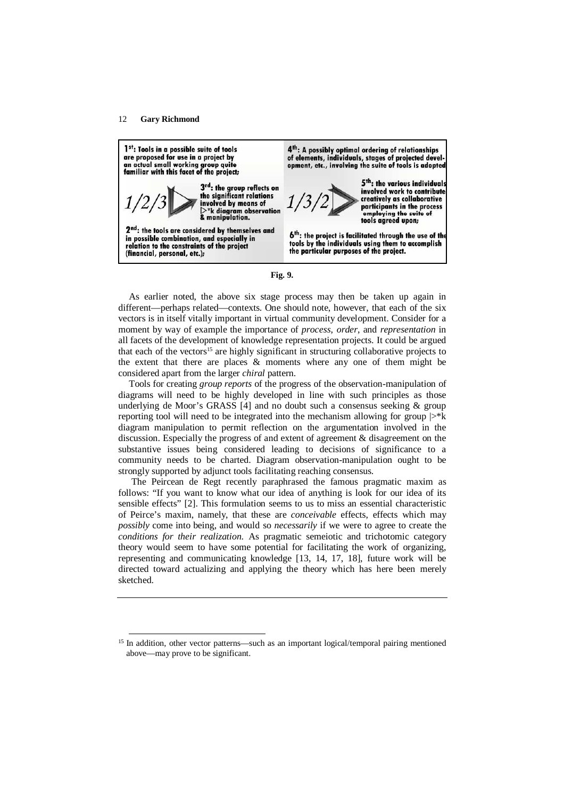l



**Fig. 9.**

As earlier noted, the above six stage process may then be taken up again in different—perhaps related—contexts. One should note, however, that each of the six vectors is in itself vitally important in virtual community development. Consider for a moment by way of example the importance of *process*, *order*, and *representation* in all facets of the development of knowledge representation projects. It could be argued that each of the vectors<sup>15</sup> are highly significant in structuring collaborative projects to the extent that there are places & moments where any one of them might be considered apart from the larger *chiral* pattern.

Tools for creating *group reports* of the progress of the observation-manipulation of diagrams will need to be highly developed in line with such principles as those underlying de Moor's GRASS [4] and no doubt such a consensus seeking & group reporting tool will need to be integrated into the mechanism allowing for group  $\triangleright^*$ k diagram manipulation to permit reflection on the argumentation involved in the discussion. Especially the progress of and extent of agreement & disagreement on the substantive issues being considered leading to decisions of significance to a community needs to be charted. Diagram observation-manipulation ought to be strongly supported by adjunct tools facilitating reaching consensus.

 The Peircean de Regt recently paraphrased the famous pragmatic maxim as follows: "If you want to know what our idea of anything is look for our idea of its sensible effects" [2]. This formulation seems to us to miss an essential characteristic of Peirce's maxim, namely, that these are *conceivable* effects, effects which may *possibly* come into being, and would so *necessarily* if we were to agree to create the *conditions for their realization*. As pragmatic semeiotic and trichotomic category theory would seem to have some potential for facilitating the work of organizing, representing and communicating knowledge [13, 14, 17, 18], future work will be directed toward actualizing and applying the theory which has here been merely sketched.

<sup>&</sup>lt;sup>15</sup> In addition, other vector patterns—such as an important logical/temporal pairing mentioned above—may prove to be significant.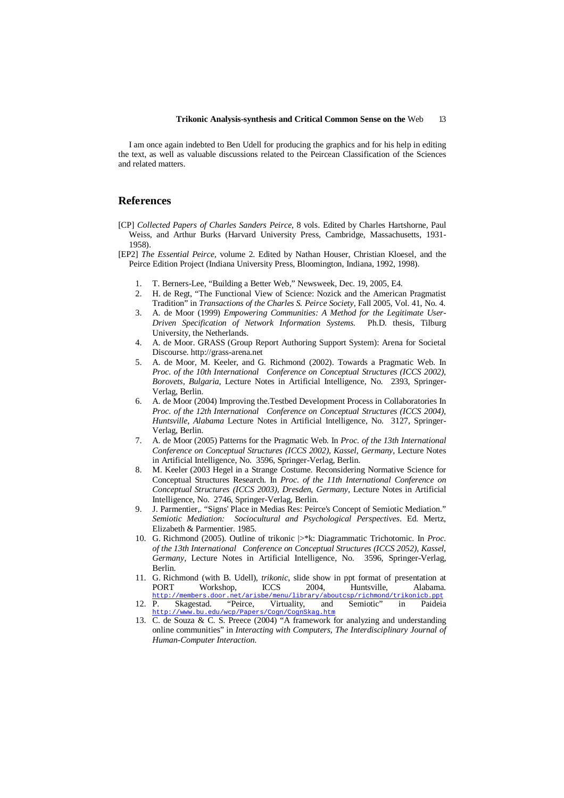I am once again indebted to Ben Udell for producing the graphics and for his help in editing the text, as well as valuable discussions related to the Peircean Classification of the Sciences and related matters.

### **References**

- [CP] *Collected Papers of Charles Sanders Peirce*, 8 vols. Edited by Charles Hartshorne, Paul Weiss, and Arthur Burks (Harvard University Press, Cambridge, Massachusetts, 1931- 1958).
- [EP2] *The Essential Peirce*, volume 2. Edited by Nathan Houser, Christian Kloesel, and the Peirce Edition Project (Indiana University Press, Bloomington, Indiana, 1992, 1998).
	- 1. T. Berners-Lee, "Building a Better Web," Newsweek, Dec. 19, 2005, E4.
	- 2. H. de Regt, "The Functional View of Science: Nozick and the American Pragmatist Tradition" in *Transactions of the Charles S. Peirce Society*, Fall 2005, Vol. 41, No. 4.
	- 3. A. de Moor (1999) *Empowering Communities: A Method for the Legitimate User-Driven Specification of Network Information Systems*. Ph.D. thesis, Tilburg University, the Netherlands.
	- 4. A. de Moor. GRASS (Group Report Authoring Support System): Arena for Societal Discourse. http://grass-arena.net
	- 5. A. de Moor, M. Keeler, and G. Richmond (2002). Towards a Pragmatic Web. In *Proc. of the 10th International Conference on Conceptual Structures (ICCS 2002), Borovets, Bulgaria,* Lecture Notes in Artificial Intelligence, No. 2393, Springer-Verlag, Berlin.
	- 6. A. de Moor (2004) Improving the.Testbed Development Process in Collaboratories In *Proc. of the 12th International Conference on Conceptual Structures (ICCS 2004), Huntsville, Alabama* Lecture Notes in Artificial Intelligence, No. 3127, Springer-Verlag, Berlin.
	- 7. A. de Moor (2005) Patterns for the Pragmatic Web. In *Proc. of the 13th International Conference on Conceptual Structures (ICCS 2002), Kassel, Germany,* Lecture Notes in Artificial Intelligence, No. 3596, Springer-Verlag, Berlin.
	- 8. M. Keeler (2003 Hegel in a Strange Costume. Reconsidering Normative Science for Conceptual Structures Research. In *Proc. of the 11th International Conference on Conceptual Structures (ICCS 2003), Dresden, Germany,* Lecture Notes in Artificial Intelligence, No. 2746, Springer-Verlag, Berlin.
	- 9. J. Parmentier,. "Signs' Place in Medias Res: Peirce's Concept of Semiotic Mediation." *Semiotic Mediation: Sociocultural and Psychological Perspectives*. Ed. Mertz, Elizabeth & Parmentier. 1985.
	- 10. G. Richmond (2005). Outline of trikonic |>\*k: Diagrammatic Trichotomic. In *Proc. of the 13th International Conference on Conceptual Structures (ICCS 2052), Kassel, Germany,* Lecture Notes in Artificial Intelligence, No. 3596, Springer-Verlag, Berlin.
	- 11. G. Richmond (with B. Udell), *trikonic*, slide show in ppt format of presentation at Workshop, ICCS 2004, Huntsville, Alabama.<br>
	rs.door.net/arisbe/menu/library/aboutcsp/richmond/trikonicb.ppt http://members.door.net/arisbe/menu/library/aboutcsp/richmond/trikonicb.ppt
	- 12. P. Skagestad. "Peirce, Virtuality, and Semiotic" in Paideia http://www.bu.edu/wcp/Papers/Cogn/CognSkag.htm
	- 13. C. de Souza & C. S. Preece (2004) "A framework for analyzing and understanding online communities" in *Interacting with Computers, The Interdisciplinary Journal of Human-Computer Interaction*.